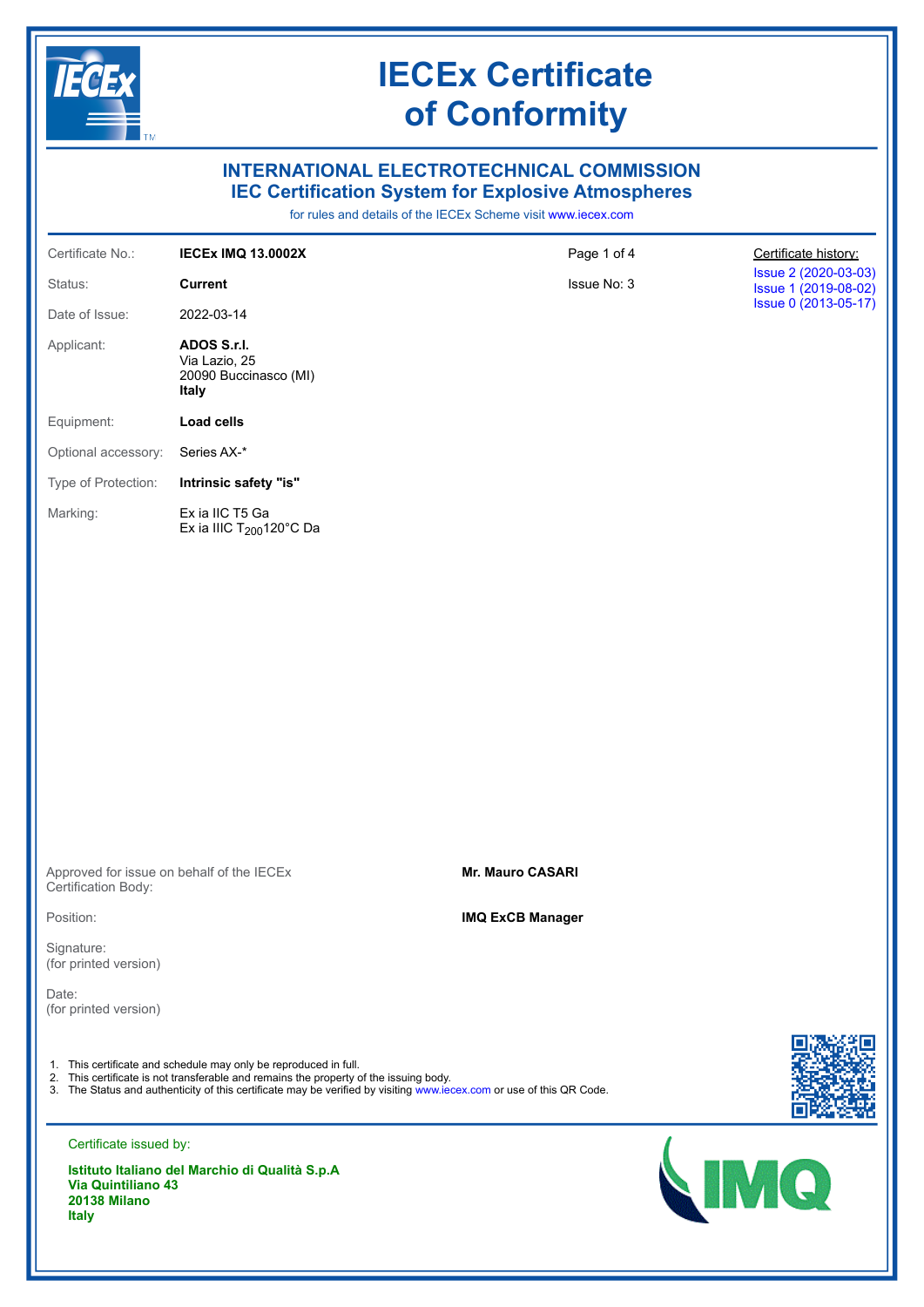

# **INTERNATIONAL ELECTROTECHNICAL COMMISSION IEC Certification System for Explosive Atmospheres**

for rules and details of the IECEx Scheme visit [www.iecex.com](https://www.iecex.com)

| Certificate No.:    | <b>IECEX IMQ 13.0002X</b>                                             | Page 1 of 4 | Certificate history:                         |
|---------------------|-----------------------------------------------------------------------|-------------|----------------------------------------------|
| Status:             | <b>Current</b>                                                        | Issue No: 3 | Issue 2 (2020-03-03)<br>Issue 1 (2019-08-02) |
| Date of Issue:      | 2022-03-14                                                            |             | Issue 0 (2013-05-17)                         |
| Applicant:          | ADOS S.r.I.<br>Via Lazio, 25<br>20090 Buccinasco (MI)<br><b>Italy</b> |             |                                              |
| Equipment:          | Load cells                                                            |             |                                              |
| Optional accessory: | Series AX-*                                                           |             |                                              |
| Type of Protection: | Intrinsic safety "is"                                                 |             |                                              |
| Marking:            | Ex ia IIC T5 Ga<br>Ex ia IIIC $T200120^{\circ}C$ Da                   |             |                                              |

Approved for issue on behalf of the IECEx Certification Body:

Position:

Signature: (for printed version)

Date: (for printed version)

1. This certificate and schedule may only be reproduced in full.

2. This certificate is not transferable and remains the property of the issuing body.

3. The Status and authenticity of this certificate may be verified by visiting [www.iecex.com](https://www.iecex.com) or use of this QR Code.



Certificate issued by:

**Istituto Italiano del Marchio di Qualità S.p.A Via Quintiliano 43 20138 Milano Italy**

## **Mr. Mauro CASARI**

### **IMQ ExCB Manager**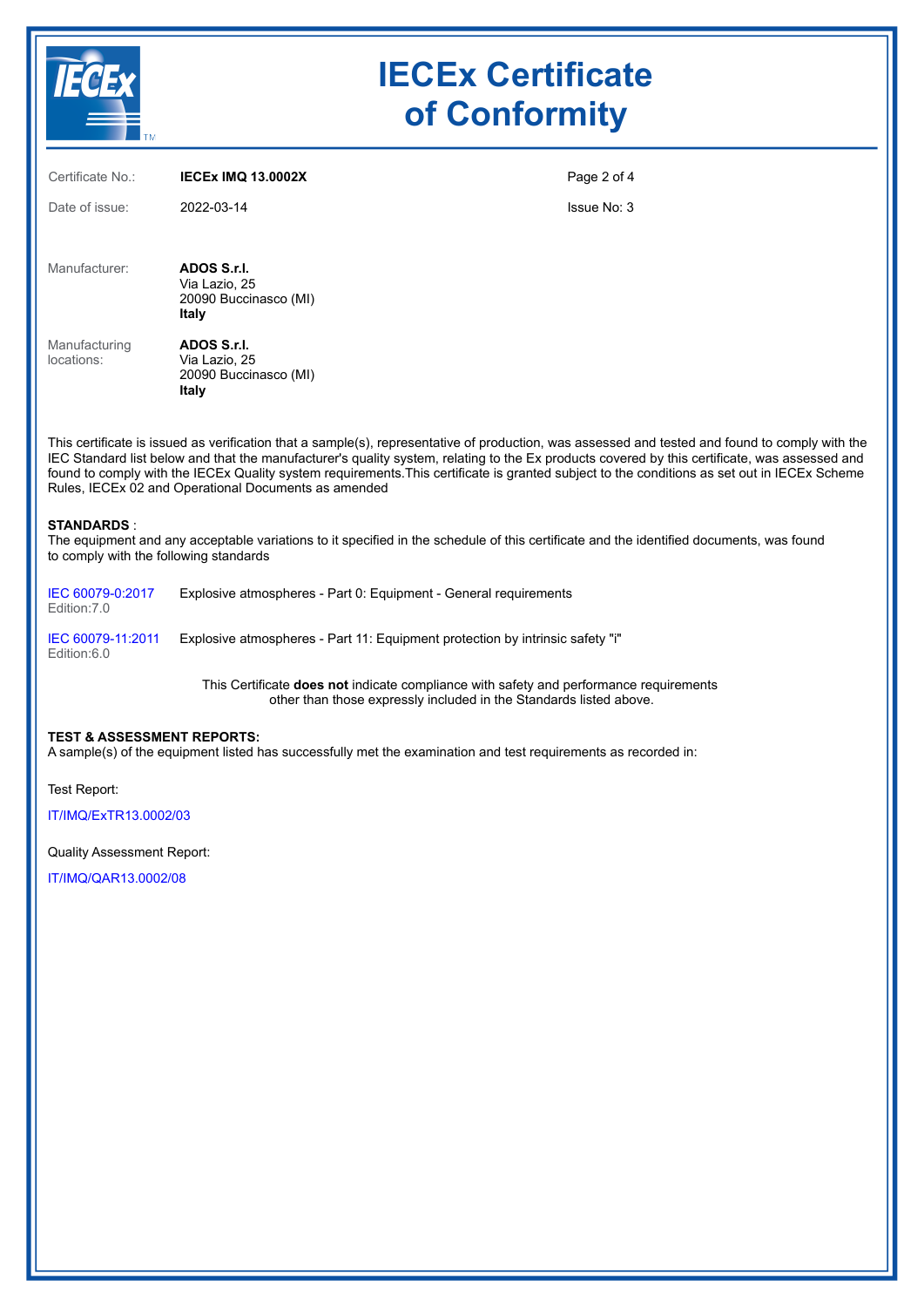

| Certificate No.:            | <b>IECEX IMQ 13.0002X</b>                                                                                                                                                                                                                                                                        | Page 2 of 4 |
|-----------------------------|--------------------------------------------------------------------------------------------------------------------------------------------------------------------------------------------------------------------------------------------------------------------------------------------------|-------------|
| Date of issue:              | 2022-03-14                                                                                                                                                                                                                                                                                       | Issue No: 3 |
| Manufacturer:               | ADOS S.r.I.<br>Via Lazio, 25<br>20090 Buccinasco (MI)<br>Italy                                                                                                                                                                                                                                   |             |
| Manufacturing<br>locations: | ADOS S.r.I.<br>Via Lazio, 25<br>20090 Buccinasco (MI)<br>Italy                                                                                                                                                                                                                                   |             |
|                             | This certificate is issued as verification that a sample(s), representative of production, was assessed and tested and found to comply with the<br>IEC Standard list below and that the manufacturer's quality system, relating to the Ex products covered by this certificate, was assessed and |             |

found to comply with the IECEx Quality system requirements.This certificate is granted subject to the conditions as set out in IECEx Scheme Rules, IECEx 02 and Operational Documents as amended

#### **STANDARDS** :

The equipment and any acceptable variations to it specified in the schedule of this certificate and the identified documents, was found to comply with the following standards

| IEC 60079-0:2017<br>Edition:7.0  | Explosive atmospheres - Part 0: Equipment - General requirements              |
|----------------------------------|-------------------------------------------------------------------------------|
| IEC 60079-11:2011<br>Edition:6.0 | Explosive atmospheres - Part 11: Equipment protection by intrinsic safety "i" |

This Certificate **does not** indicate compliance with safety and performance requirements other than those expressly included in the Standards listed above.

#### **TEST & ASSESSMENT REPORTS:**

A sample(s) of the equipment listed has successfully met the examination and test requirements as recorded in:

Test Report:

[IT/IMQ/ExTR13.0002/03](https://www.iecex-certs.com/#/deliverables/REPORT/82322/view)

Quality Assessment Report:

[IT/IMQ/QAR13.0002/08](https://www.iecex-certs.com/#/deliverables/REPORT/73604/view)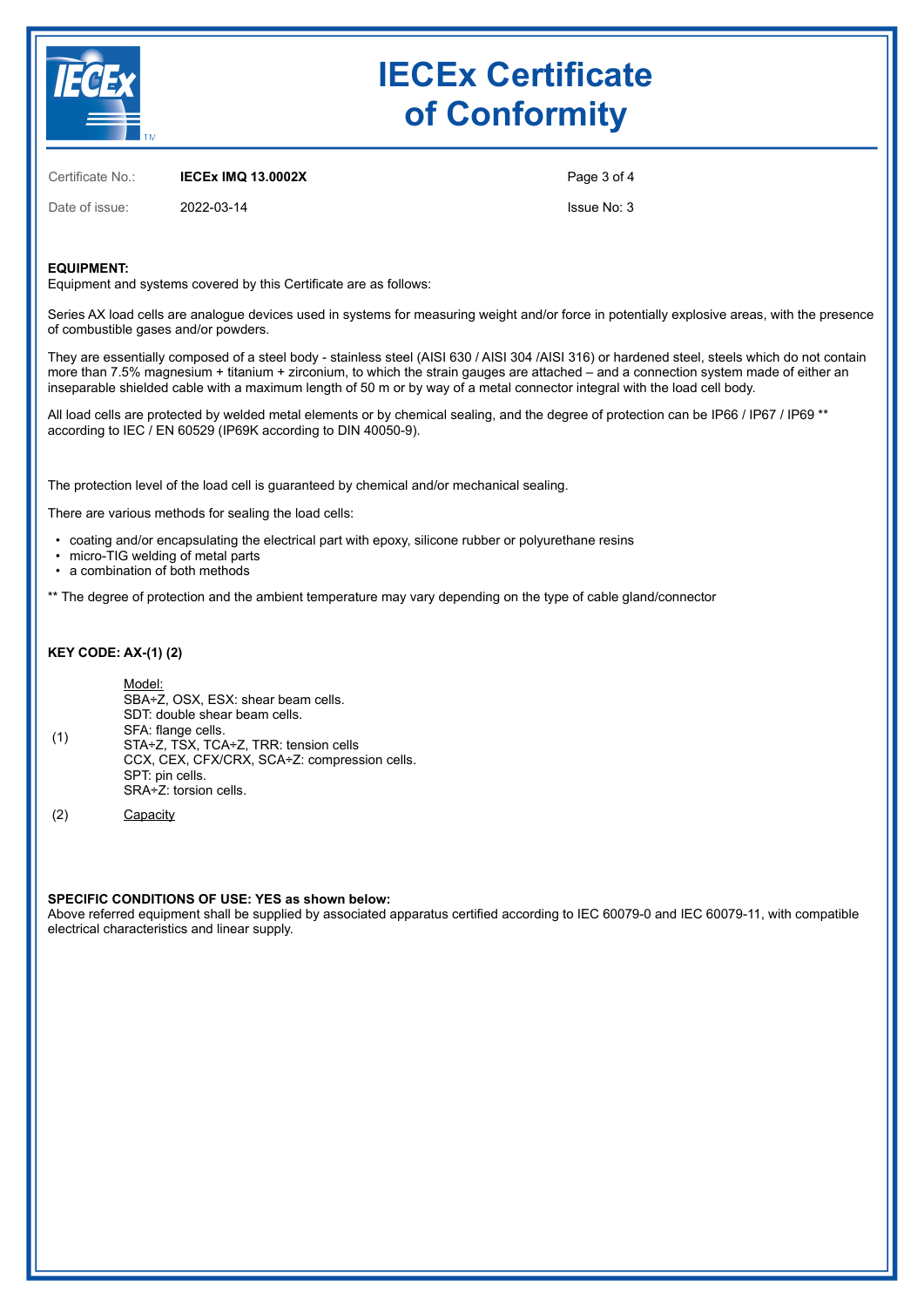

Certificate No.: **IECEx IMQ 13.0002X**

Date of issue: 2022-03-14

Page 3 of 4

Issue No: 3

## **EQUIPMENT:**

Equipment and systems covered by this Certificate are as follows:

Series AX load cells are analogue devices used in systems for measuring weight and/or force in potentially explosive areas, with the presence of combustible gases and/or powders.

They are essentially composed of a steel body - stainless steel (AISI 630 / AISI 304 /AISI 316) or hardened steel, steels which do not contain more than 7.5% magnesium + titanium + zirconium, to which the strain gauges are attached – and a connection system made of either an inseparable shielded cable with a maximum length of 50 m or by way of a metal connector integral with the load cell body.

All load cells are protected by welded metal elements or by chemical sealing, and the degree of protection can be IP66 / IP67 / IP69 \*\* according to IEC / EN 60529 (IP69K according to DIN 40050-9).

The protection level of the load cell is guaranteed by chemical and/or mechanical sealing.

There are various methods for sealing the load cells:

- coating and/or encapsulating the electrical part with epoxy, silicone rubber or polyurethane resins
- micro-TIG welding of metal parts
- a combination of both methods

\*\* The degree of protection and the ambient temperature may vary depending on the type of cable gland/connector

#### **KEY CODE: AX-(1) (2)**

| (1) | Model:<br>SBA÷Z, OSX, ESX: shear beam cells.<br>SDT: double shear beam cells.<br>SFA: flange cells.<br>STA+Z, TSX, TCA+Z, TRR: tension cells<br>CCX, CEX, CFX/CRX, SCA÷Z: compression cells.<br>SPT: pin cells.<br>SRA÷Z: torsion cells. |
|-----|------------------------------------------------------------------------------------------------------------------------------------------------------------------------------------------------------------------------------------------|
|-----|------------------------------------------------------------------------------------------------------------------------------------------------------------------------------------------------------------------------------------------|

(2) Capacity

### **SPECIFIC CONDITIONS OF USE: YES as shown below:**

Above referred equipment shall be supplied by associated apparatus certified according to IEC 60079-0 and IEC 60079-11, with compatible electrical characteristics and linear supply.